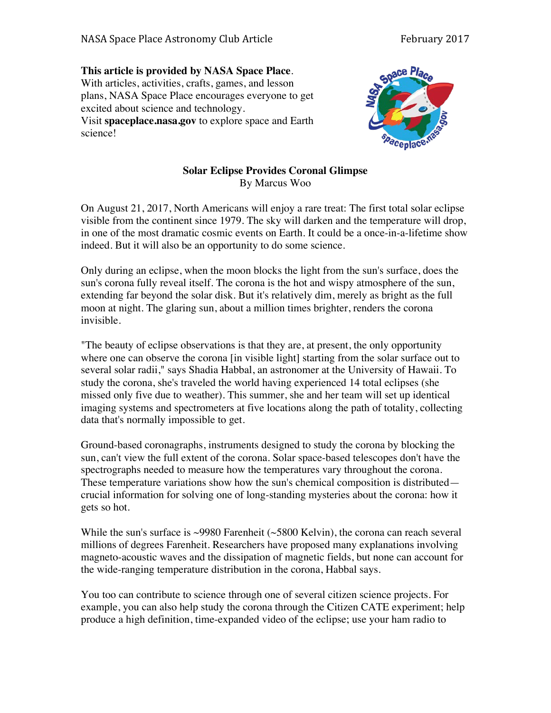## **This article is provided by NASA Space Place**. With articles, activities, crafts, games, and lesson plans, NASA Space Place encourages everyone to get excited about science and technology. Visit **spaceplace.nasa.gov** to explore space and Earth science!



## **Solar Eclipse Provides Coronal Glimpse** By Marcus Woo

On August 21, 2017, North Americans will enjoy a rare treat: The first total solar eclipse visible from the continent since 1979. The sky will darken and the temperature will drop, in one of the most dramatic cosmic events on Earth. It could be a once-in-a-lifetime show indeed. But it will also be an opportunity to do some science.

Only during an eclipse, when the moon blocks the light from the sun's surface, does the sun's corona fully reveal itself. The corona is the hot and wispy atmosphere of the sun, extending far beyond the solar disk. But it's relatively dim, merely as bright as the full moon at night. The glaring sun, about a million times brighter, renders the corona invisible.

"The beauty of eclipse observations is that they are, at present, the only opportunity where one can observe the corona [in visible light] starting from the solar surface out to several solar radii," says Shadia Habbal, an astronomer at the University of Hawaii. To study the corona, she's traveled the world having experienced 14 total eclipses (she missed only five due to weather). This summer, she and her team will set up identical imaging systems and spectrometers at five locations along the path of totality, collecting data that's normally impossible to get.

Ground-based coronagraphs, instruments designed to study the corona by blocking the sun, can't view the full extent of the corona. Solar space-based telescopes don't have the spectrographs needed to measure how the temperatures vary throughout the corona. These temperature variations show how the sun's chemical composition is distributed crucial information for solving one of long-standing mysteries about the corona: how it gets so hot.

While the sun's surface is  $\sim$ 9980 Farenheit ( $\sim$ 5800 Kelvin), the corona can reach several millions of degrees Farenheit. Researchers have proposed many explanations involving magneto-acoustic waves and the dissipation of magnetic fields, but none can account for the wide-ranging temperature distribution in the corona, Habbal says.

You too can contribute to science through one of several citizen science projects. For example, you can also help study the corona through the Citizen CATE experiment; help produce a high definition, time-expanded video of the eclipse; use your ham radio to